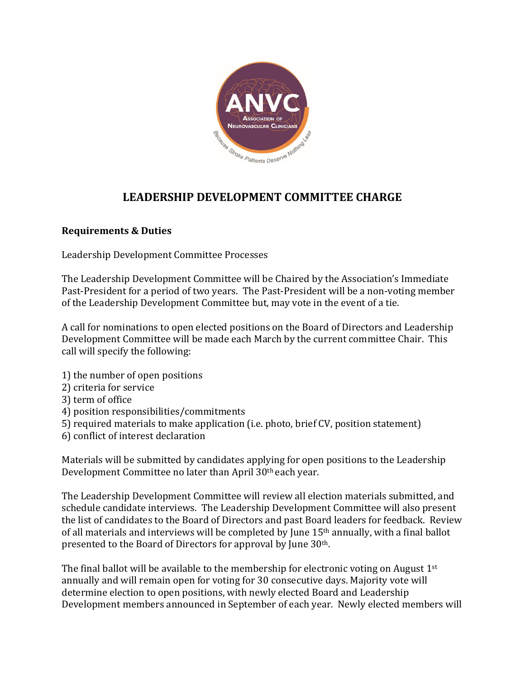

# **LEADERSHIP DEVELOPMENT COMMITTEE CHARGE**

### **Requirements & Duties**

Leadership Development Committee Processes

The Leadership Development Committee will be Chaired by the Association's Immediate Past-President for a period of two years. The Past-President will be a non-voting member of the Leadership Development Committee but, may vote in the event of a tie.

A call for nominations to open elected positions on the Board of Directors and Leadership Development Committee will be made each March by the current committee Chair. This call will specify the following:

- 1) the number of open positions
- 2) criteria for service
- 3) term of office
- 4) position responsibilities/commitments
- 5) required materials to make application (i.e. photo, brief CV, position statement)
- 6) conflict of interest declaration

Materials will be submitted by candidates applying for open positions to the Leadership Development Committee no later than April 30th each year.

The Leadership Development Committee will review all election materials submitted, and schedule candidate interviews. The Leadership Development Committee will also present the list of candidates to the Board of Directors and past Board leaders for feedback. Review of all materials and interviews will be completed by June 15th annually, with a final ballot presented to the Board of Directors for approval by June 30th.

The final ballot will be available to the membership for electronic voting on August  $1<sup>st</sup>$ annually and will remain open for voting for 30 consecutive days. Majority vote will determine election to open positions, with newly elected Board and Leadership Development members announced in September of each year. Newly elected members will